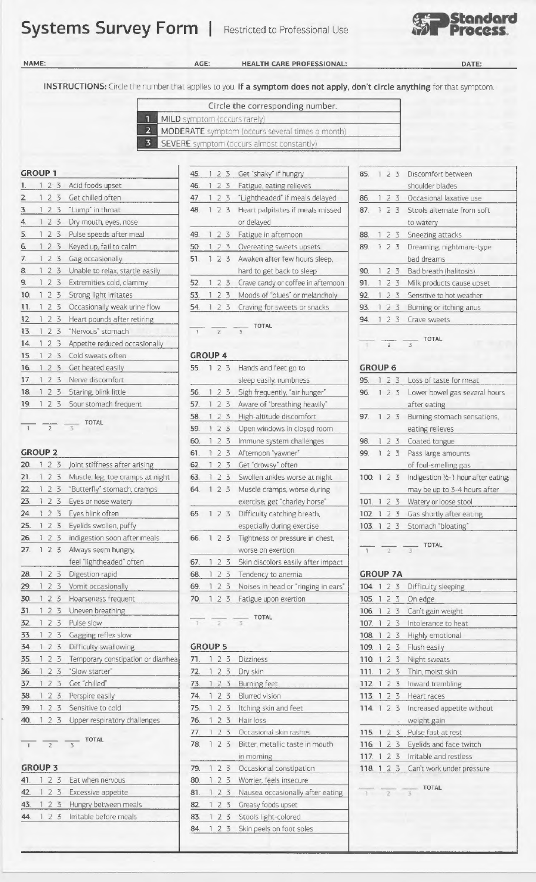## **Systems Survey Form** | Restricted to Professional Use



**NAME: AGE:** 

**HEALTH CARE PROFESSIONAL:** 

**DATE:** 

**INSTRUCTIONS:** Circle the number that applies co you. **If a symptom does not apply, don't circle anything** for that symptom.

|                         | Circle the corresponding number.                       |  |
|-------------------------|--------------------------------------------------------|--|
|                         | MILD symptom (occurs rarely)                           |  |
|                         | <b>MODERATE</b> symptom (occurs several times a month) |  |
| $\overline{\mathbf{3}}$ | SEVERE symptom (occurs almost constantly)              |  |

|                 | $2^{5}$        | Acid foods upset                | 46.            |     |            | 23             | Fatigue, eating relieves           |     |                | shoulder blades               |
|-----------------|----------------|---------------------------------|----------------|-----|------------|----------------|------------------------------------|-----|----------------|-------------------------------|
|                 | 23             | Get chilled often               | 47.            |     | 2 3        |                | "Lightheaded" if meals delayed     | 86  | 23             | Occasional laxative use       |
| 3.              | 23             | "Lump" in throat                | 48.            |     | 23         |                | Heart palpitates if meals missed   | 87  | 23             | Stools alternate from soft    |
|                 | 23             | Dry mouth, eyes, nose           |                |     |            |                | or delayed                         |     |                | to watery                     |
| 5.              | 23             | Pulse speeds after meal         | 49.            |     |            | 2 <sub>3</sub> | Fatigue in afternoon               | 88. | 23             | Sneezing attacks              |
| 6.              | 23             | Keyed up, fail to calm          | 50.            |     | 23         |                | Overeating sweets upsets           | 89  | 23             | Dreaming, nightmare-type      |
|                 | 23             | Gag occasionally                | 51.            |     |            | 2 <sub>3</sub> | Awaken after few hours sleep,      |     |                | bad dreams                    |
| 8               | 23             | Unable to relax, startle easily |                |     |            |                | hard to get back to sleep          | 90. | 2 3            | Bad breath (halitosis)        |
| 9.              | 2 <sub>3</sub> | Extremities cold, clammy        | 52.            |     | 123        |                | Crave candy or coffee in afternoon | 91. | 23             | Milk products cause upset     |
| 10.             | 23             | Strong light irritates          | 53.            |     |            |                | Moods of "blues" or melancholy     | 92  | 73             | Sensitive to hot weather      |
| 11.             | 2 3            | Occasionally weak urine flow    | 54.            |     | 2 3        |                | Craving for sweets or snacks       | 93. | 2 3            | Burning or itching anus       |
| 12 <sup>2</sup> | 23             | Heart pounds after retiring     |                |     |            |                |                                    | 94  | 23             | Crave sweets                  |
| 13.             | 23             | "Nervous" stomach               | $\sqrt{1}$     |     | $\sqrt{2}$ |                | <b>TOTAL</b><br>3                  |     |                |                               |
| 14.             | 23             | Appetite reduced occasionally   |                |     |            |                |                                    |     | $\overline{2}$ | <b>TOTAL</b>                  |
| 15.             | 23             | Cold sweats often               | <b>GROUP 4</b> |     |            |                |                                    |     |                |                               |
| 16.             | 2 <sub>3</sub> | Get heated easily               | 55.            | 123 |            |                | Hands and feet go to               |     | <b>GROUP 6</b> |                               |
| 17.             | 23             | Nerve discomfort                |                |     |            |                | sleep easily, numbness             | 95. | 23             | Loss of taste for meat        |
| 18.             | 123            | Staring, blink little           | 56.            |     | 123        |                | Sigh frequently, "air hunger"      | 96. | 23             | Lower bowel gas several hours |
| 19.             | 123            | Sour stomach frequent           | 57.            |     |            | 23             | Aware of "breathing heavily"       |     |                | after eating                  |

 $\frac{1}{1}$   $\frac{1}{2}$   $\frac{1}{3}$  TOTAL

| 20. |                | 2 3 Joint stiffness after arising  | Get "drowsy" often<br>62.<br>2 <sub>5</sub>                     | of foul-smelling gas                                            |
|-----|----------------|------------------------------------|-----------------------------------------------------------------|-----------------------------------------------------------------|
| 21. | 2 <sub>5</sub> | Muscle, leg, toe cramps at night   | Swollen ankles worse at night<br>63.<br>23                      | Indigestion 1/2-1 hour after ea<br>100.123                      |
| 22. | 2 <sub>3</sub> | "Butterfly" stomach, cramps        | Muscle cramps, worse during<br>64.<br>123                       | may be up to 3-4 hours afte                                     |
| 23. | 23             | Eyes or nose watery                | exercise; get "charley horse"                                   | Watery or loose stool<br>101. 123                               |
| 24. | 23             | Eyes blink often                   | Difficulty catching breath,<br>65. 1 2 3                        | 102. 1 2 3 Gas shortly after eating                             |
| 25. | 23             | Eyelids swollen, puffy             | especially during exercise                                      | 103. 1 2 3 Stomach "bloating"                                   |
| 26. | 23             | Indigestion soon after meals       | Tightness or pressure in chest,<br>66.<br>2 <sub>5</sub>        |                                                                 |
| 27. | 123            | Always seem hungry,                | worse on exertion                                               | <b>TOTAL</b><br>$\overline{2}$<br>$\mathbb{R}$<br>$\frac{1}{3}$ |
|     |                | feel "lightheaded" often           | Skin discolors easily after impact<br>67.<br>2 3                |                                                                 |
| 28. | 123            | Digestion rapid                    | Tendency to anemia<br>68.<br>23                                 | <b>GROUP 7A</b>                                                 |
| 29. | 23             | Vomit occasionally                 | Noises in head or "ringing in ears"<br>69.<br>2 <sub>3</sub>    | 104. 1 2 3<br>Difficulty sleeping                               |
| 30. | 123            | Hoarseness frequent                | Fatigue upon exertion<br>123<br>70.                             | 105. 1 2 3<br>On edge                                           |
| 31. | 23             | Uneven breathing                   |                                                                 | 106. 123<br>Can't gain weight                                   |
| 32  | 23             | Pulse slow                         | <b>TOTAL</b><br>2 <sup>7</sup><br>T<br>$\overline{\mathcal{R}}$ | Intolerance to heat<br>107. 1 2 3                               |
| 33. | 2 <sub>3</sub> | Gagging reflex slow                |                                                                 | 108.123<br>Highly emotional                                     |
| 34. | 23             | Difficulty swallowing              | <b>GROUP 5</b>                                                  | 109.123<br>Flush easily                                         |
| 35. | 23             | Temporary constipation or diarrhea | 23<br><b>Dizziness</b><br>71.                                   | 110.123<br>Night sweats                                         |
| 36. | 2 <sub>5</sub> | "Slow starter"                     | 2 <sub>3</sub><br>Dry skin<br>72.                               | Thin, moist skin<br>111. 123                                    |
| 37. | 23             | Get "chilled"                      | 23<br>Burning feet<br>73.                                       | Inward trembling<br>112.123                                     |
| 38. | 2 3            | Perspire easily                    | <b>Blurred vision</b><br>74.<br>23                              | Heart races<br>113.123                                          |
| 39. | 23             | Sensitive to cold                  | 75.<br>Itching skin and feet<br>23                              | Increased appetite without<br>114.123                           |
| 40. |                | 1 2 3 Upper respiratory challenges | 76.<br>123<br>Hair loss                                         | weight gain                                                     |

|  |  | 41. 1 2 3 Eat when nervous       | 80. |  | 1 2 3 Worrier, feels insecure   |
|--|--|----------------------------------|-----|--|---------------------------------|
|  |  | 42. 1 2 3 Excessive appetite     |     |  | 81. 1 2 3 Nausea occasionally a |
|  |  | 43. 1 2 3 Hungry between meals   |     |  | 82. 1 2 3 Greasy foods upset    |
|  |  | 44. 1 2 3 Irritable before meals |     |  | 83. 1 2 3 Stools light-colored  |
|  |  |                                  |     |  |                                 |

| <b>GROUP 1</b>                             | Get "shaky" if hungry<br>45.<br>2 3                                                                                                                                                                                                                                                                                                                                                                                                                                             | Discomfort between<br>85.                  |
|--------------------------------------------|---------------------------------------------------------------------------------------------------------------------------------------------------------------------------------------------------------------------------------------------------------------------------------------------------------------------------------------------------------------------------------------------------------------------------------------------------------------------------------|--------------------------------------------|
| Acid foods upset<br>123                    | Fatigue, eating relieves<br>46.<br>2 3                                                                                                                                                                                                                                                                                                                                                                                                                                          | shoulder blades                            |
| Get chilled often<br>$\overline{2}$<br>23  | "Lightheaded" if meals delayed<br>47.<br>23                                                                                                                                                                                                                                                                                                                                                                                                                                     | Occasional laxative use<br>86.<br>$\leq$   |
| "Lump" in throat<br>3.<br>23               | Heart palpitates if meals missed<br>48.                                                                                                                                                                                                                                                                                                                                                                                                                                         | Stools alternate from soft<br>87<br>$\leq$ |
| Dry mouth, eyes, nose<br>2 3<br>4.         | or delayed                                                                                                                                                                                                                                                                                                                                                                                                                                                                      | to watery                                  |
| Pulse speeds after meal<br>5.<br>23        | Fatigue in afternoon<br>49.<br>2 3                                                                                                                                                                                                                                                                                                                                                                                                                                              | 88.<br>Sneezing attacks<br>2 3             |
| Keyed up, fail to calm<br>6.<br>2 3        | Overeating sweets upsets<br>50.                                                                                                                                                                                                                                                                                                                                                                                                                                                 | Dreaming, nightmare-type<br>89<br>2.5      |
| Gag occasionally<br>7.<br>23               | Awaken after few hours sleep,<br>51<br>23                                                                                                                                                                                                                                                                                                                                                                                                                                       | bad dreams                                 |
| Unable to relax, startle easily<br>8<br>23 | hard to get back to sleep                                                                                                                                                                                                                                                                                                                                                                                                                                                       | Bad breath (halitosis)<br>90.<br>2 3       |
| Extremities cold, clammy<br>9.<br>23       | Crave candy or coffee in afternoon<br>52.<br>23                                                                                                                                                                                                                                                                                                                                                                                                                                 | Milk products cause upset<br>91.           |
| Strong light irritates<br>10.<br>23        | Moods of "blues" or melancholy<br>53                                                                                                                                                                                                                                                                                                                                                                                                                                            | Sensitive to hot weather<br>92<br>73       |
| Occasionally weak urine flow<br>11.<br>2 3 | Craving for sweets or snacks<br>54.                                                                                                                                                                                                                                                                                                                                                                                                                                             | Burning or itching anus<br>93.             |
| Heart pounds after retiring<br>12.<br>23   | $\overline{\phantom{a}}$ $\overline{\phantom{a}}$ $\overline{\phantom{a}}$ $\overline{\phantom{a}}$ $\overline{\phantom{a}}$ $\overline{\phantom{a}}$ $\overline{\phantom{a}}$ $\overline{\phantom{a}}$ $\overline{\phantom{a}}$ $\overline{\phantom{a}}$ $\overline{\phantom{a}}$ $\overline{\phantom{a}}$ $\overline{\phantom{a}}$ $\overline{\phantom{a}}$ $\overline{\phantom{a}}$ $\overline{\phantom{a}}$ $\overline{\phantom{a}}$ $\overline{\phantom{a}}$ $\overline{\$ | 94<br>Crave sweets<br>7 <sup>5</sup>       |

### GROUP<sub>4</sub>

| 16. | 23             | Get heated easily                | 55. |     |     |                | 2 3 Hands and feet go to            | <b>GROUP 6</b>  |  |             |                                  |
|-----|----------------|----------------------------------|-----|-----|-----|----------------|-------------------------------------|-----------------|--|-------------|----------------------------------|
| 17. | 23             | Nerve discomfort                 |     |     |     |                | sleep easily, numbness              | 95.             |  | 123         | Loss of taste for meat           |
| 18. | 23             | Staring, blink little            | 56. |     |     | 23             | Sigh frequently, "air hunger"       | 96.             |  | 123         | Lower bowel gas several hou      |
| 19. | 2 <sub>5</sub> | Sour stomach frequent            | 57. |     |     | 23             | Aware of "breathing heavily"        |                 |  |             | after eating                     |
|     |                |                                  | 58. |     | 23  |                | High-altitude discomfort            | 97.             |  | 123         | Burning stomach sensations,      |
|     | $\overline{2}$ | TOTAL                            | 59. |     |     | 23             | Open windows in closed room         |                 |  |             | eating relieves                  |
|     |                |                                  | 60. |     | 23  |                | Immune system challenges            | 98.             |  | 123         | Coated tongue                    |
|     | <b>GROUP 2</b> |                                  | 61. |     |     | 23             | Afternoon "yawner"                  | 99.             |  | 123         | Pass large amounts               |
| 20. | 23             | Joint stiffness after arising    | 62. |     |     | 2 <sub>5</sub> | Get "drowsy" often                  |                 |  |             | of foul-smelling gas             |
| 21. | 2 <sub>3</sub> | Muscle, leg, toe cramps at night | 63. |     |     | 2 3            | Swollen ankles worse at night       | 100             |  | 123         | Indigestion 1/2-1 hour after eat |
| 22. | 2 <sub>5</sub> | "Butterfly" stomach, cramps      | 64  |     |     | 2 <sub>5</sub> | Muscle cramps, worse during         |                 |  |             | may be up to 3-4 hours after     |
| 23. | 23             | Eyes or nose watery              |     |     |     |                | exercise; get "charley horse"       | 101. 123        |  |             | Watery or loose stool            |
| 24. | 23             | Eyes blink often                 | 65. | 123 |     |                | Difficulty catching breath,         | 102.123         |  |             | Gas shortly after eating         |
| 25. | 23             | Eyelids swollen, puffy           |     |     |     |                | especially during exercise          | 103.123         |  |             | Stomach "bloating"               |
| 26. | 23             | Indigestion soon after meals     | 66. |     |     | 2 <sub>5</sub> | Tightness or pressure in chest,     |                 |  |             |                                  |
| 27. | 2 <sub>3</sub> | Always seem hungry,              |     |     |     |                | worse on exertion.                  | $\overline{1}$  |  | $2^{\circ}$ | <b>TOTAL</b><br>$\overline{5}$   |
|     |                | feel "lightheaded" often         | 67. |     | 2 3 |                | Skin discolors easily after impact  |                 |  |             |                                  |
| 28. | 2 <sub>5</sub> | Digestion rapid                  | 68. |     | 123 |                | Tendency to anemia                  | <b>GROUP 7A</b> |  |             |                                  |
| 29. | 2 <sub>5</sub> | Vomit occasionally               | 69. |     | 23  |                | Noises in head or "ringing in ears" | 104. 1 2 3      |  |             | Difficulty sleeping              |
| 30. | 23             | Hoarseness frequent              | 70. |     |     | 123            | Fatigue upon exertion               | 105.123         |  |             | On edge                          |
| 31  |                | $1, 2, 3$ Ilneven breathing      |     |     |     |                |                                     |                 |  |             | $106 \t12 \t3$ Can't gain weight |

|     | 35. 1 2 3                                    | Temporary constipation or diarrhea     | 71. | 23  | <b>Dizziness</b>                       | 110.123  |    | Night sweats                         |
|-----|----------------------------------------------|----------------------------------------|-----|-----|----------------------------------------|----------|----|--------------------------------------|
| 36. | 123                                          | "Slow starter"                         | 72. | 23  | Dry skin                               | 111. 123 |    | Thin, moist skin                     |
| 37. | 123                                          | Get "chilled"                          | 73. | 123 | Burning feet                           | 112.123  |    | Inward trembling                     |
| 38. | 123                                          | Perspire easily                        | 74. | 23  | <b>Blurred vision</b>                  | 113.1    | 23 | Heart races                          |
| 39. | 123                                          | Sensitive to cold                      | 75. | 23  | Itching skin and feet                  | 114. 123 |    | Increased appetite without           |
|     |                                              | 40. 1 2 3 Upper respiratory challenges | 76. | 23  | Hair loss                              |          |    | weight gain                          |
|     |                                              |                                        | 77. | 23  | Occasional skin rashes                 | 115.123  |    | Pulse fast at rest                   |
|     | $\overline{1}$ $\overline{2}$ $\overline{3}$ | <b>TOTAL</b>                           | 78. | 23  | Bitter, metallic taste in mouth        |          |    | 116. 1 2 3 Eyelids and face twitch   |
|     |                                              |                                        |     |     | in morning                             | 117.123  |    | Irritable and restless               |
|     | <b>GROUP 3</b>                               |                                        | 79. | 23  | Occasional constipation                |          |    | 118. 1 2 3 Can't work under pressure |
| 41. | 123                                          | Eat when nervous                       | 80. | 23  | Worrier, feels insecure                |          |    |                                      |
| 42. | 123                                          | Excessive appetite                     | 81. |     | 1 2 3 Nausea occasionally after eating |          |    | <b>TOTAL</b>                         |
|     | 43. 123                                      | Hungry between meals                   | 82  | 23  | Greasy foods upset                     |          |    |                                      |
| 44. | 123                                          | Irritable before meals                 | 83. | 23  | Stools light-colored                   |          |    |                                      |
|     |                                              |                                        | 84. | 23  | Skin peels on foot soles               |          |    |                                      |
|     |                                              |                                        |     |     |                                        |          |    |                                      |

|                |   |                         |                | shoulder blades                      |
|----------------|---|-------------------------|----------------|--------------------------------------|
| 86.            | 1 | 2 3                     |                | Occasional laxative use              |
| 87.            | 1 |                         | 23             | Stools alternate from soft           |
|                |   |                         |                | to watery                            |
| 88.            | ı |                         | 2 <sub>5</sub> | Sneezing attacks                     |
| 89.            |   | 123                     |                | Dreaming, nightmare-type             |
|                |   |                         |                | bad dreams                           |
| 90.            | 1 | 2 <sub>3</sub>          |                | Bad breath (halitosis)               |
| 91.            | 1 | $\overline{2}$          | 3              | Milk products cause upset            |
| 92.            | 1 | 23                      |                | Sensitive to hot weather             |
| 93.            | 1 | $\overline{2}$          | 3              | Burning or itching anus              |
| 94.            | 1 | 23                      |                | Crave sweets                         |
|                |   | $\overline{\mathbf{c}}$ |                | TOTAL<br>3                           |
| <b>GROUP 6</b> |   |                         |                |                                      |
| 95.            |   | 23                      |                | Loss of taste for meat               |
| 96.            |   | 123                     |                | Lower bowel gas several hours        |
|                |   |                         |                | after eating                         |
| 97.            |   | 123                     |                | Burning stomach sensations,          |
|                |   |                         |                | eating relieves                      |
| 98.            | 1 | 2 <sub>3</sub>          |                | Coated tongue                        |
| 99.            | 1 | 2 3                     |                | Pass large amounts                   |
|                |   |                         |                | of foul-smelling gas                 |
| 100.123        |   |                         |                | Indigestion 1/2-1 hour after eating; |
|                |   |                         |                | may be up to 3-4 hours after         |

|  |  | 101. 1 2 3 Watery or loose stool        |
|--|--|-----------------------------------------|
|  |  | 102. 1 2 3 Gas shortly after eating     |
|  |  | $\Delta$ 1 2 $\zeta$ Ctamach "blasting" |

# GROUP 7A **204. 1 2 3 Difficulty sleeping**

| solded in created or simpling in each |                             | purcency are spirits                  |  |
|---------------------------------------|-----------------------------|---------------------------------------|--|
| Fatigue upon exertion                 | 105. 1 2 3 On edge          |                                       |  |
|                                       |                             | 106. 1 2 3 Can't gain weight          |  |
| <b>TOTAL</b>                          |                             | 107. 1 2 3 Intolerance to heat        |  |
|                                       |                             | 108. 1 2 3 Highly emotional           |  |
|                                       |                             | 109. 1 2 3 Flush easily               |  |
| <b>Dizziness</b>                      |                             | 110. 1 2 3 Night sweats               |  |
| Dry skin                              |                             | 111. 1 2 3 Thin, moist skin           |  |
| Burning feet                          |                             | 112. 1 2 3 Inward trembling           |  |
| <b>Blurred vision</b>                 |                             | 113. 1 2 3 Heart races                |  |
| Itching skin and feet                 |                             | 114. 1 2 3 Increased appetite without |  |
| Hair loss                             |                             | weight gain                           |  |
| Occasional skin rashes                |                             | 115. 1 2 3 Pulse fast at rest         |  |
| Bitter, metallic taste in mouth       |                             | 116. 1 2 3 Eyelids and face twitch    |  |
| in morning                            |                             | 117. 1 2 3 Irritable and restless     |  |
| Occasional constipation               |                             | 118. 1 2 3 Can't work under pressure  |  |
| Worrier, feels insecure               |                             |                                       |  |
| Nausea occasionally after eating      | $\frac{1}{1}$ $\frac{2}{3}$ | <b>TOTAL</b>                          |  |
| Greasy foods upset                    |                             |                                       |  |
| Chaole light colorad                  |                             |                                       |  |